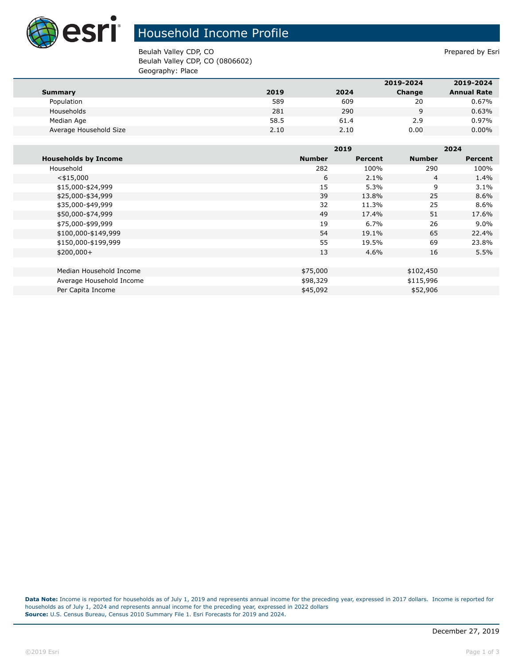

## Household Income Profile

Beulah Valley CDP, CO **Prepared by Estimate Section** 2 and 2 and 2 and 2 and 2 and 2 and 2 and 2 and 2 and 2 and 2 and 2 and 2 and 2 and 2 and 2 and 2 and 2 and 2 and 2 and 2 and 2 and 2 and 2 and 2 and 2 and 2 and 2 and 2 Beulah Valley CDP, CO (0806602) Geography: Place

|                        |      |      | 2019-2024 | 2019-2024          |
|------------------------|------|------|-----------|--------------------|
| Summary                | 2019 | 2024 | Change    | <b>Annual Rate</b> |
| Population             | 589  | 609  | 20        | 0.67%              |
| Households             | 281  | 290  | 9         | 0.63%              |
| Median Age             | 58.5 | 61.4 | 2.9       | 0.97%              |
| Average Household Size | 2.10 | 2.10 | 0.00      | $0.00\%$           |

|                             |               | 2019    |               | 2024           |  |
|-----------------------------|---------------|---------|---------------|----------------|--|
| <b>Households by Income</b> | <b>Number</b> | Percent | <b>Number</b> | <b>Percent</b> |  |
| Household                   | 282           | 100%    | 290           | 100%           |  |
| $<$ \$15,000                | 6             | 2.1%    | 4             | 1.4%           |  |
| \$15,000-\$24,999           | 15            | 5.3%    | 9             | 3.1%           |  |
| \$25,000-\$34,999           | 39            | 13.8%   | 25            | 8.6%           |  |
| \$35,000-\$49,999           | 32            | 11.3%   | 25            | $8.6\%$        |  |
| \$50,000-\$74,999           | 49            | 17.4%   | 51            | 17.6%          |  |
| \$75,000-\$99,999           | 19            | 6.7%    | 26            | $9.0\%$        |  |
| \$100,000-\$149,999         | 54            | 19.1%   | 65            | 22.4%          |  |
| \$150,000-\$199,999         | 55            | 19.5%   | 69            | 23.8%          |  |
| $$200,000+$                 | 13            | 4.6%    | 16            | 5.5%           |  |
|                             |               |         |               |                |  |
| Median Household Income     | \$75,000      |         | \$102,450     |                |  |
| Average Household Income    | \$98,329      |         | \$115,996     |                |  |
| Per Capita Income           | \$45,092      |         | \$52,906      |                |  |

**Data Note:** Income is reported for households as of July 1, 2019 and represents annual income for the preceding year, expressed in 2017 dollars. Income is reported for households as of July 1, 2024 and represents annual income for the preceding year, expressed in 2022 dollars **Source:** U.S. Census Bureau, Census 2010 Summary File 1. Esri Forecasts for 2019 and 2024.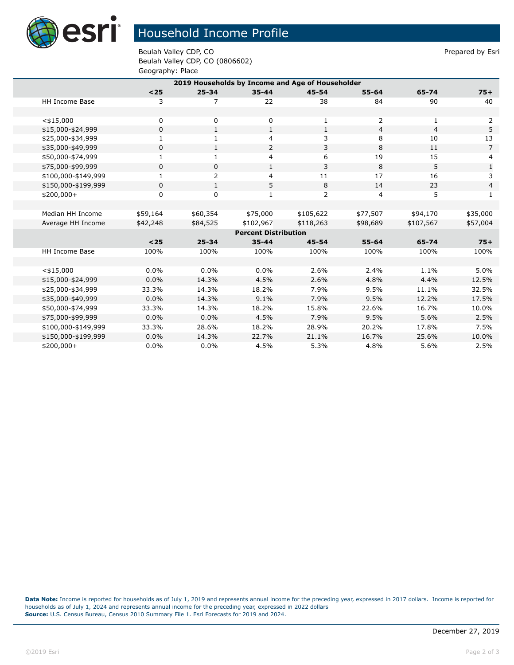

## Household Income Profile

Beulah Valley CDP, CO **Prepared by Estimate Section** 2 and 2 and 2 and 2 and 2 and 2 and 2 and 2 and 2 and 2 and 2 and 2 and 2 and 2 and 2 and 2 and 2 and 2 and 2 and 2 and 2 and 2 and 2 and 2 and 2 and 2 and 2 and 2 and 2 Beulah Valley CDP, CO (0806602) Geography: Place

| 2019 Households by Income and Age of Householder |             |                |              |              |                |                |                |
|--------------------------------------------------|-------------|----------------|--------------|--------------|----------------|----------------|----------------|
|                                                  | $25$        | $25 - 34$      | $35 - 44$    | $45 - 54$    | $55 - 64$      | 65-74          | $75+$          |
| <b>HH Income Base</b>                            | 3           | 7              | 22           | 38           | 84             | 90             | 40             |
|                                                  |             |                |              |              |                |                |                |
| $<$ \$15,000                                     | 0           | 0              | $\mathbf 0$  | 1            | 2              | 1              | 2              |
| \$15,000-\$24,999                                | 0           | $\mathbf{1}$   | $\mathbf{1}$ | $\mathbf{1}$ | $\overline{4}$ | $\overline{4}$ | 5              |
| \$25,000-\$34,999                                | 1           | 1              | 4            | 3            | 8              | 10             | 13             |
| \$35,000-\$49,999                                | 0           | $\mathbf{1}$   | 2            | 3            | 8              | 11             | $\overline{7}$ |
| \$50,000-\$74,999                                | 1           | 1              | 4            | 6            | 19             | 15             | 4              |
| \$75,000-\$99,999                                | 0           | 0              | $\mathbf{1}$ | 3            | 8              | 5              | $\mathbf{1}$   |
| \$100,000-\$149,999                              | 1           | $\overline{2}$ | 4            | 11           | 17             | 16             | 3              |
| \$150,000-\$199,999                              | $\mathbf 0$ | $\mathbf{1}$   | 5            | 8            | 14             | 23             | $\overline{4}$ |
| \$200,000+                                       | 0           | 0              | 1            | 2            | 4              | 5              | $\mathbf{1}$   |
|                                                  |             |                |              |              |                |                |                |
| Median HH Income                                 | \$59,164    | \$60,354       | \$75,000     | \$105,622    | \$77,507       | \$94,170       | \$35,000       |
| Average HH Income                                | \$42,248    | \$84,525       | \$102,967    | \$118,263    | \$98,689       | \$107,567      | \$57,004       |
| <b>Percent Distribution</b>                      |             |                |              |              |                |                |                |
|                                                  | $25$        | $25 - 34$      | $35 - 44$    | $45 - 54$    | $55 - 64$      | 65-74          | $75+$          |
| <b>HH Income Base</b>                            | 100%        | 100%           | 100%         | 100%         | 100%           | 100%           | 100%           |
|                                                  |             |                |              |              |                |                |                |
| $<$ \$15,000                                     | $0.0\%$     | $0.0\%$        | 0.0%         | 2.6%         | 2.4%           | 1.1%           | 5.0%           |
| \$15,000-\$24,999                                | 0.0%        | 14.3%          | 4.5%         | 2.6%         | 4.8%           | 4.4%           | 12.5%          |
| \$25,000-\$34,999                                | 33.3%       | 14.3%          | 18.2%        | 7.9%         | 9.5%           | 11.1%          | 32.5%          |
| \$35,000-\$49,999                                | 0.0%        | 14.3%          | 9.1%         | 7.9%         | 9.5%           | 12.2%          | 17.5%          |
| \$50,000-\$74,999                                | 33.3%       | 14.3%          | 18.2%        | 15.8%        | 22.6%          | 16.7%          | 10.0%          |
| \$75,000-\$99,999                                | 0.0%        | 0.0%           | 4.5%         | 7.9%         | 9.5%           | 5.6%           | 2.5%           |
| \$100,000-\$149,999                              | 33.3%       | 28.6%          | 18.2%        | 28.9%        | 20.2%          | 17.8%          | 7.5%           |
| \$150,000-\$199,999                              | 0.0%        | 14.3%          | 22.7%        | 21.1%        | 16.7%          | 25.6%          | 10.0%          |
| $$200,000+$                                      | 0.0%        | $0.0\%$        | 4.5%         | 5.3%         | 4.8%           | 5.6%           | 2.5%           |

**Data Note:** Income is reported for households as of July 1, 2019 and represents annual income for the preceding year, expressed in 2017 dollars. Income is reported for households as of July 1, 2024 and represents annual income for the preceding year, expressed in 2022 dollars **Source:** U.S. Census Bureau, Census 2010 Summary File 1. Esri Forecasts for 2019 and 2024.